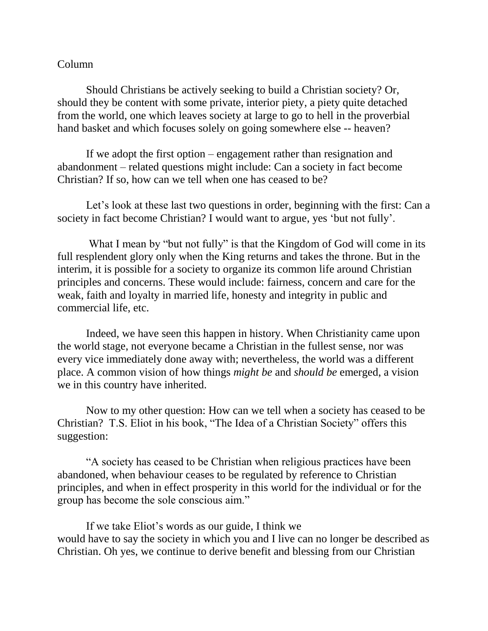## Column

Should Christians be actively seeking to build a Christian society? Or, should they be content with some private, interior piety, a piety quite detached from the world, one which leaves society at large to go to hell in the proverbial hand basket and which focuses solely on going somewhere else -- heaven?

If we adopt the first option – engagement rather than resignation and abandonment – related questions might include: Can a society in fact become Christian? If so, how can we tell when one has ceased to be?

Let's look at these last two questions in order, beginning with the first: Can a society in fact become Christian? I would want to argue, yes 'but not fully'.

What I mean by "but not fully" is that the Kingdom of God will come in its full resplendent glory only when the King returns and takes the throne. But in the interim, it is possible for a society to organize its common life around Christian principles and concerns. These would include: fairness, concern and care for the weak, faith and loyalty in married life, honesty and integrity in public and commercial life, etc.

Indeed, we have seen this happen in history. When Christianity came upon the world stage, not everyone became a Christian in the fullest sense, nor was every vice immediately done away with; nevertheless, the world was a different place. A common vision of how things *might be* and *should be* emerged, a vision we in this country have inherited.

Now to my other question: How can we tell when a society has ceased to be Christian? T.S. Eliot in his book, "The Idea of a Christian Society" offers this suggestion:

"A society has ceased to be Christian when religious practices have been abandoned, when behaviour ceases to be regulated by reference to Christian principles, and when in effect prosperity in this world for the individual or for the group has become the sole conscious aim."

If we take Eliot's words as our guide, I think we would have to say the society in which you and I live can no longer be described as Christian. Oh yes, we continue to derive benefit and blessing from our Christian